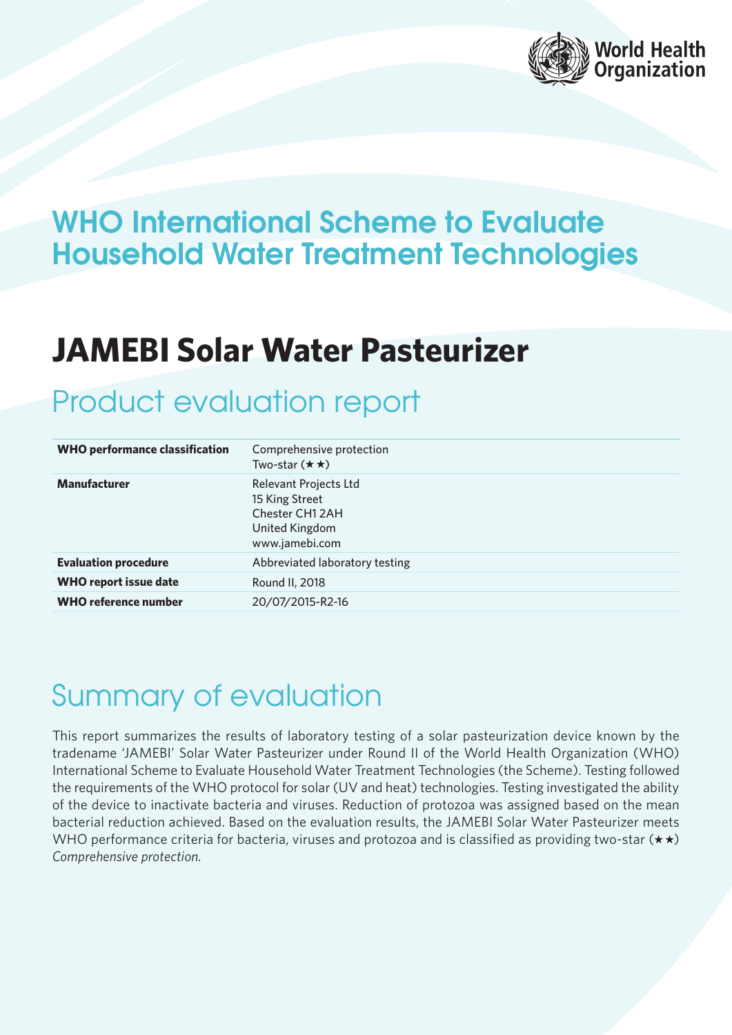

### WHO International Scheme to Evaluate Household Water Treatment Technologies

## **JAMEBI Solar Water Pasteurizer**

### Product evaluation report

| <b>WHO performance classification</b> | Comprehensive protection<br>Two-star $(\star \star)$                                                  |  |
|---------------------------------------|-------------------------------------------------------------------------------------------------------|--|
| <b>Manufacturer</b>                   | <b>Relevant Projects Ltd</b><br>15 King Street<br>Chester CH1 2AH<br>United Kingdom<br>www.jamebi.com |  |
| <b>Evaluation procedure</b>           | Abbreviated laboratory testing                                                                        |  |
| <b>WHO report issue date</b>          | Round II, 2018                                                                                        |  |
| <b>WHO reference number</b>           | 20/07/2015-R2-16                                                                                      |  |

# Summary of evaluation

This report summarizes the results of laboratory testing of a solar pasteurization device known by the tradename 'JAMEBI' Solar Water Pasteurizer under Round II of the World Health Organization (WHO) International Scheme to Evaluate Household Water Treatment Technologies (the Scheme). Testing followed the requirements of the WHO protocol for solar (UV and heat) technologies. Testing investigated the ability of the device to inactivate bacteria and viruses. Reduction of protozoa was assigned based on the mean bacterial reduction achieved. Based on the evaluation results, the JAMEBI Solar Water Pasteurizer meets WHO performance criteria for bacteria, viruses and protozoa and is classified as providing two-star  $(\star \star)$ *Comprehensive protection.*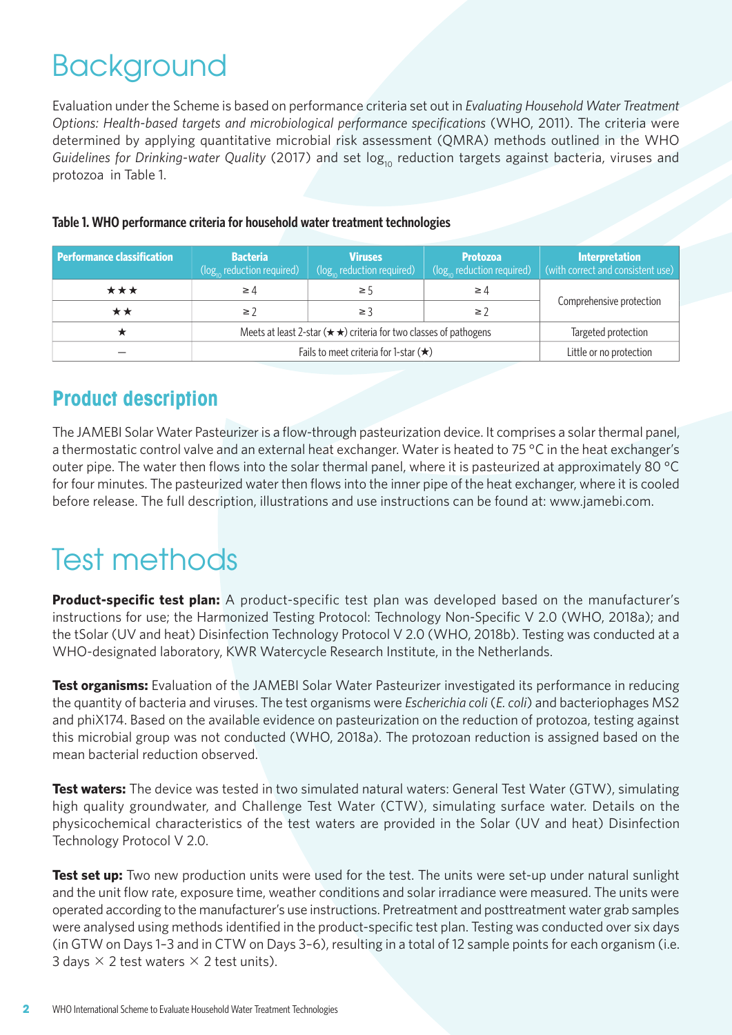# Background

Evaluation under the Scheme is based on performance criteria set out in *Evaluating Household Water Treatment Options: Health-based targets and microbiological performance specifications* (WHO, 2011). The criteria were determined by applying quantitative microbial risk assessment (QMRA) methods outlined in the WHO Guidelines for Drinking-water Quality (2017) and set log<sub>10</sub> reduction targets against bacteria, viruses and protozoa in Table 1.

| <b>Performance classification</b> | <b>Bacteria</b><br>$(\log_{10}$ reduction required)                           | <b>Viruses</b><br>$(\log_{10}$ reduction required) | <b>Protozoa</b><br>$(\log_{10}$ reduction required) | <b>Interpretation</b><br>(with correct and consistent use) |
|-----------------------------------|-------------------------------------------------------------------------------|----------------------------------------------------|-----------------------------------------------------|------------------------------------------------------------|
| ***                               | $\geq 4$                                                                      | ≥ 5                                                | $\geq 4$                                            |                                                            |
| **                                | $\geq$ 7                                                                      | ≥ 3                                                | $\geq$ 2                                            | Comprehensive protection                                   |
|                                   | Meets at least 2-star ( $\star \star$ ) criteria for two classes of pathogens |                                                    |                                                     | Targeted protection                                        |
|                                   | Fails to meet criteria for 1-star $(\star)$                                   |                                                    |                                                     | Little or no protection                                    |

#### **Table 1. WHO performance criteria for household water treatment technologies**

#### **Product description**

The JAMEBI Solar Water Pasteurizer is a flow-through pasteurization device. It comprises a solar thermal panel, a thermostatic control valve and an external heat exchanger. Water is heated to 75 °C in the heat exchanger's outer pipe. The water then flows into the solar thermal panel, where it is pasteurized at approximately 80 °C for four minutes. The pasteurized water then flows into the inner pipe of the heat exchanger, where it is cooled before release. The full description, illustrations and use instructions can be found at: www.jamebi.com.

# Test methods

**Product-specific test plan:** A product-specific test plan was developed based on the manufacturer's instructions for use; the Harmonized Testing Protocol: Technology Non-Specific V 2.0 (WHO, 2018a); and the tSolar (UV and heat) Disinfection Technology Protocol V 2.0 (WHO, 2018b). Testing was conducted at a WHO-designated laboratory, KWR Watercycle Research Institute, in the Netherlands.

**Test organisms:** Evaluation of the JAMEBI Solar Water Pasteurizer investigated its performance in reducing the quantity of bacteria and viruses. The test organisms were *Escherichia coli* (*E. coli*) and bacteriophages MS2 and phiX174. Based on the available evidence on pasteurization on the reduction of protozoa, testing against this microbial group was not conducted (WHO, 2018a). The protozoan reduction is assigned based on the mean bacterial reduction observed.

**Test waters:** The device was tested in two simulated natural waters: General Test Water (GTW), simulating high quality groundwater, and Challenge Test Water (CTW), simulating surface water. Details on the physicochemical characteristics of the test waters are provided in the Solar (UV and heat) Disinfection Technology Protocol V 2.0.

**Test set up:** Two new production units were used for the test. The units were set-up under natural sunlight and the unit flow rate, exposure time, weather conditions and solar irradiance were measured. The units were operated according to the manufacturer's use instructions. Pretreatment and posttreatment water grab samples were analysed using methods identified in the product-specific test plan. Testing was conducted over six days (in GTW on Days 1–3 and in CTW on Days 3–6), resulting in a total of 12 sample points for each organism (i.e. 3 days  $\times$  2 test waters  $\times$  2 test units).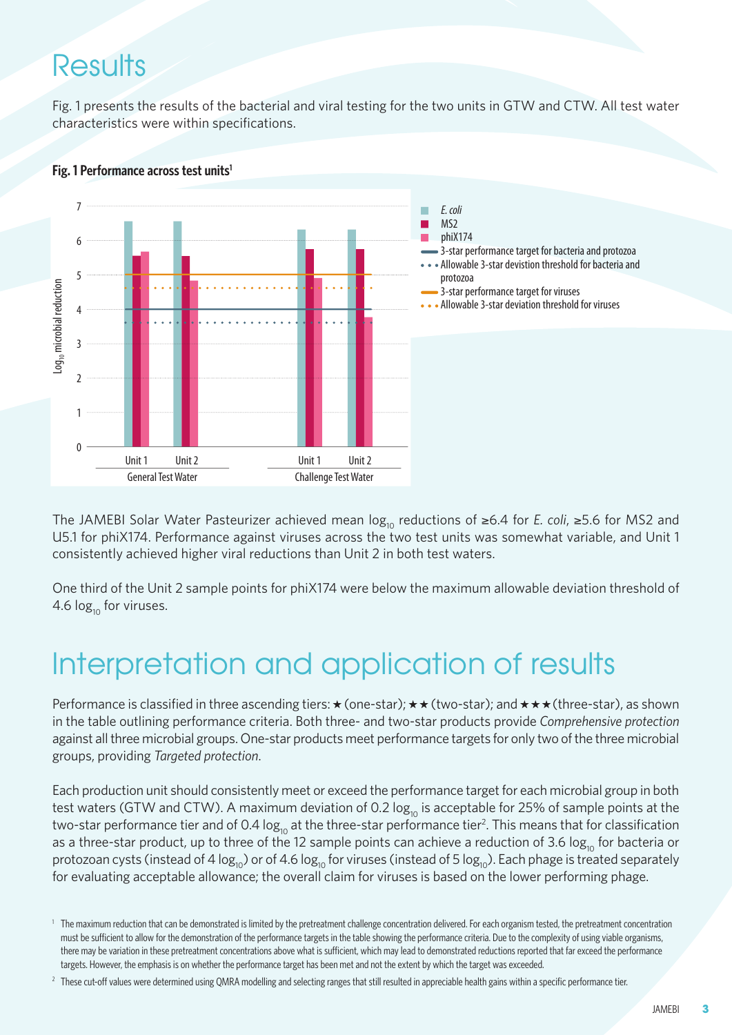### **Results**

Fig. 1 presents the results of the bacterial and viral testing for the two units in GTW and CTW. All test water characteristics were within specifications.



#### **Fig. 1 Performance across test units<sup>1</sup>**

The JAMEBI Solar Water Pasteurizer achieved mean log<sub>10</sub> reductions of ≥6.4 for *E. coli*, ≥5.6 for MS2 and U5.1 for phiX174. Performance against viruses across the two test units was somewhat variable, and Unit 1 consistently achieved higher viral reductions than Unit 2 in both test waters.

One third of the Unit 2 sample points for phiX174 were below the maximum allowable deviation threshold of 4.6  $log_{10}$  for viruses.

### Interpretation and application of results

Performance is classified in three ascending tiers:  $\star$  (one-star);  $\star \star$  (two-star); and  $\star \star \star$  (three-star), as shown in the table outlining performance criteria. Both three- and two-star products provide *Comprehensive protection*  against all three microbial groups. One-star products meet performance targets for only two of the three microbial groups, providing *Targeted protection*.

Each production unit should consistently meet or exceed the performance target for each microbial group in both test waters (GTW and CTW). A maximum deviation of 0.2  $log_{10}$  is acceptable for 25% of sample points at the two-star performance tier and of 0.4 log<sub>10</sub> at the three-star performance tier<sup>2</sup>. This means that for classification as a three-star product, up to three of the 12 sample points can achieve a reduction of 3.6  $log_{10}$  for bacteria or protozoan cysts (instead of 4 log<sub>10</sub>) or of 4.6 log<sub>10</sub> for viruses (instead of 5 log<sub>10</sub>). Each phage is treated separately for evaluating acceptable allowance; the overall claim for viruses is based on the lower performing phage.

<sup>&</sup>lt;sup>1</sup> The maximum reduction that can be demonstrated is limited by the pretreatment challenge concentration delivered. For each organism tested, the pretreatment concentration must be sufficient to allow for the demonstration of the performance targets in the table showing the performance criteria. Due to the complexity of using viable organisms, there may be variation in these pretreatment concentrations above what is sufficient, which may lead to demonstrated reductions reported that far exceed the performance targets. However, the emphasis is on whether the performance target has been met and not the extent by which the target was exceeded.

<sup>&</sup>lt;sup>2</sup> These cut-off values were determined using QMRA modelling and selecting ranges that still resulted in appreciable health gains within a specific performance tier.